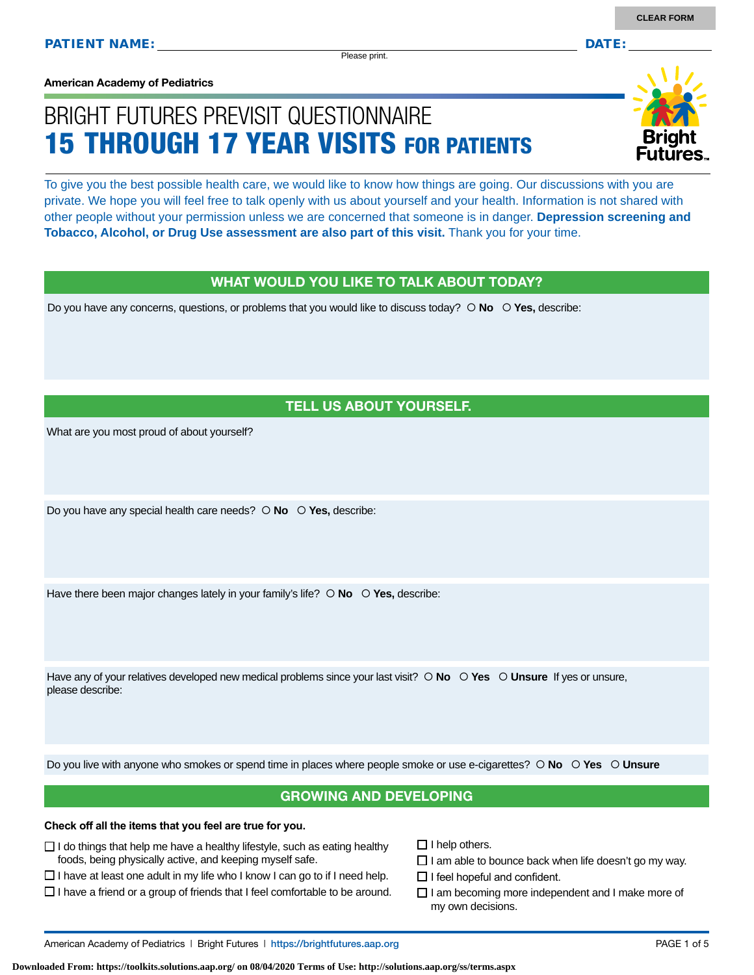Please print.

**American Academy of Pediatrics**

# BRIGHT FUTURES PREVISIT QUESTIONNAIRE 15 THROUGH 17 YEAR VISITS FOR PATIENTS

To give you the best possible health care, we would like to know how things are going. Our discussions with you are private. We hope you will feel free to talk openly with us about yourself and your health. Information is not shared with other people without your permission unless we are concerned that someone is in danger. **Depression screening and Tobacco, Alcohol, or Drug Use assessment are also part of this visit.** Thank you for your time.

### WHAT WOULD YOU LIKE TO TALK ABOUT TODAY?

Do you have any concerns, questions, or problems that you would like to discuss today?  $\circ$  **No**  $\circ$  **Yes**, describe:

### TELL US ABOUT YOURSELF.

What are you most proud of about yourself?

Do you have any special health care needs?  **No Yes,** describe:

Have there been major changes lately in your family's life?  $\circ$  **No**  $\circ$  **Yes**, describe:

Have any of your relatives developed new medical problems since your last visit?  $\circ$  **No**  $\circ$  **Yes**  $\circ$  **Unsure** If yes or unsure, please describe:

Do you live with anyone who smokes or spend time in places where people smoke or use e-cigarettes?  **No Yes Unsure**

### GROWING AND DEVELOPING

### **Check off all the items that you feel are true for you.**

- $\Box$  I do things that help me have a healthy lifestyle, such as eating healthy foods, being physically active, and keeping myself safe.
- $\Box$  I have at least one adult in my life who I know I can go to if I need help.
- $\square$  I have a friend or a group of friends that I feel comfortable to be around.
- $\Box$  I help others.
- $\Box$  I am able to bounce back when life doesn't go my way.
- $\Box$  I feel hopeful and confident.
- $\Box$  I am becoming more independent and I make more of my own decisions.

**Downloaded From: https://toolkits.solutions.aap.org/ on 08/04/2020 Terms of Use: http://solutions.aap.org/ss/terms.aspx**

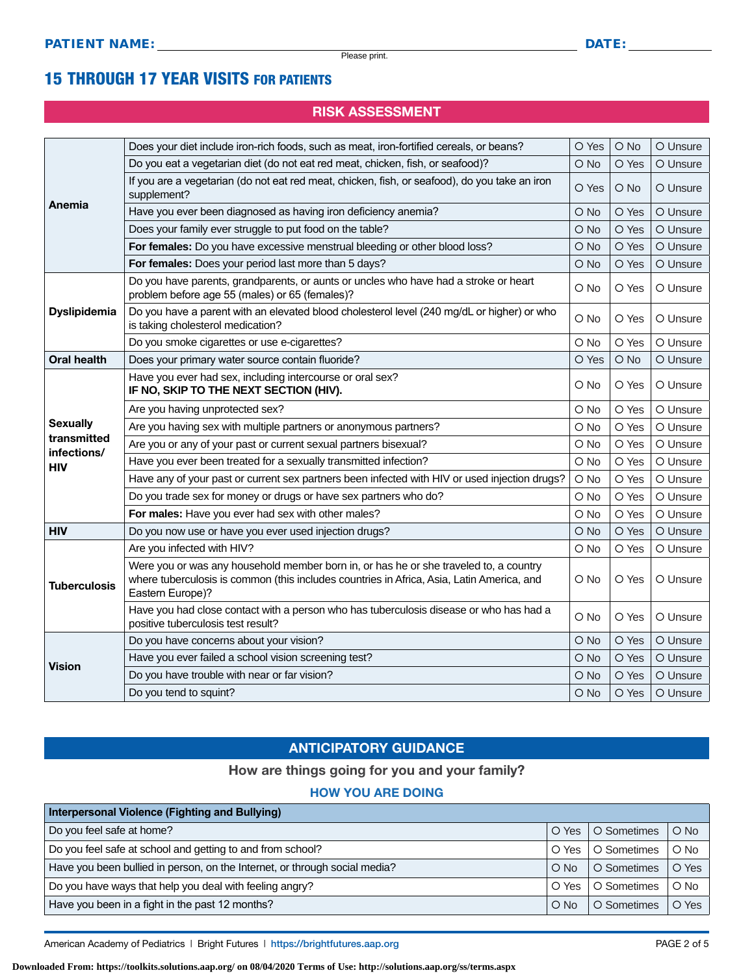### 15 THROUGH 17 YEAR VISITS FOR PATIENTS

### RISK ASSESSMENT

|                           | Does your diet include iron-rich foods, such as meat, iron-fortified cereals, or beans?                                                                                                                | O Yes         | O No  | O Unsure |
|---------------------------|--------------------------------------------------------------------------------------------------------------------------------------------------------------------------------------------------------|---------------|-------|----------|
|                           | Do you eat a vegetarian diet (do not eat red meat, chicken, fish, or seafood)?                                                                                                                         | O No          | O Yes | O Unsure |
|                           | If you are a vegetarian (do not eat red meat, chicken, fish, or seafood), do you take an iron<br>supplement?                                                                                           | O Yes         | O No  | O Unsure |
| Anemia                    | Have you ever been diagnosed as having iron deficiency anemia?                                                                                                                                         | O No          | O Yes | O Unsure |
|                           | Does your family ever struggle to put food on the table?                                                                                                                                               | O No          | O Yes | O Unsure |
|                           | For females: Do you have excessive menstrual bleeding or other blood loss?                                                                                                                             |               | O Yes | O Unsure |
|                           | For females: Does your period last more than 5 days?                                                                                                                                                   | O No          | O Yes | O Unsure |
|                           | Do you have parents, grandparents, or aunts or uncles who have had a stroke or heart<br>problem before age 55 (males) or 65 (females)?                                                                 | O No          | O Yes | O Unsure |
| <b>Dyslipidemia</b>       | Do you have a parent with an elevated blood cholesterol level (240 mg/dL or higher) or who<br>is taking cholesterol medication?                                                                        | O No          | O Yes | O Unsure |
|                           | Do you smoke cigarettes or use e-cigarettes?                                                                                                                                                           | O No          | O Yes | O Unsure |
| <b>Oral health</b>        | Does your primary water source contain fluoride?                                                                                                                                                       | O Yes         | O No  | O Unsure |
|                           | Have you ever had sex, including intercourse or oral sex?<br>IF NO, SKIP TO THE NEXT SECTION (HIV).                                                                                                    | O No          | O Yes | O Unsure |
|                           | Are you having unprotected sex?                                                                                                                                                                        | O No          | O Yes | O Unsure |
| <b>Sexually</b>           | Are you having sex with multiple partners or anonymous partners?                                                                                                                                       | O No          | O Yes | O Unsure |
| transmitted               | Are you or any of your past or current sexual partners bisexual?                                                                                                                                       | O No          | O Yes | O Unsure |
| infections/<br><b>HIV</b> | Have you ever been treated for a sexually transmitted infection?                                                                                                                                       | O No          | O Yes | O Unsure |
|                           | Have any of your past or current sex partners been infected with HIV or used injection drugs?                                                                                                          | O No          | O Yes | O Unsure |
|                           | Do you trade sex for money or drugs or have sex partners who do?                                                                                                                                       | O No          | O Yes | O Unsure |
|                           | For males: Have you ever had sex with other males?                                                                                                                                                     | $\bigcirc$ No | O Yes | O Unsure |
| <b>HIV</b>                | Do you now use or have you ever used injection drugs?                                                                                                                                                  | O No          | O Yes | O Unsure |
|                           | Are you infected with HIV?                                                                                                                                                                             | O No          | O Yes | O Unsure |
| <b>Tuberculosis</b>       | Were you or was any household member born in, or has he or she traveled to, a country<br>where tuberculosis is common (this includes countries in Africa, Asia, Latin America, and<br>Eastern Europe)? | O No          | O Yes | O Unsure |
|                           | Have you had close contact with a person who has tuberculosis disease or who has had a<br>positive tuberculosis test result?                                                                           | O No          | O Yes | O Unsure |
|                           | Do you have concerns about your vision?                                                                                                                                                                | O No          | O Yes | O Unsure |
|                           | Have you ever failed a school vision screening test?                                                                                                                                                   | O No          | O Yes | O Unsure |
| <b>Vision</b>             | Do you have trouble with near or far vision?                                                                                                                                                           | O No          | O Yes | O Unsure |
|                           | Do you tend to squint?                                                                                                                                                                                 | O No          | O Yes | O Unsure |

### ANTICIPATORY GUIDANCE

#### How are things going for you and your family?

### HOW YOU ARE DOING

| Interpersonal Violence (Fighting and Bullying)                             |               |             |        |  |
|----------------------------------------------------------------------------|---------------|-------------|--------|--|
| Do you feel safe at home?                                                  | $\circ$ Yes   | O Sometimes | $O$ No |  |
| Do you feel safe at school and getting to and from school?                 | O Yes         | O Sometimes | $O$ No |  |
| Have you been bullied in person, on the Internet, or through social media? | $\bigcirc$ No | O Sometimes | O Yes  |  |
| Do you have ways that help you deal with feeling angry?                    | O Yes         | O Sometimes | $O$ No |  |
| Have you been in a fight in the past 12 months?                            | $O$ No        | O Sometimes | O Yes  |  |

American Academy of Pediatrics | Bright Futures | https:/[/brightfutures.aap.org](https://brightfutures.aap.org/Pages/default.aspx) **PAGE 2 of 5** PAGE 2 of 5

**Downloaded From: https://toolkits.solutions.aap.org/ on 08/04/2020 Terms of Use: http://solutions.aap.org/ss/terms.aspx**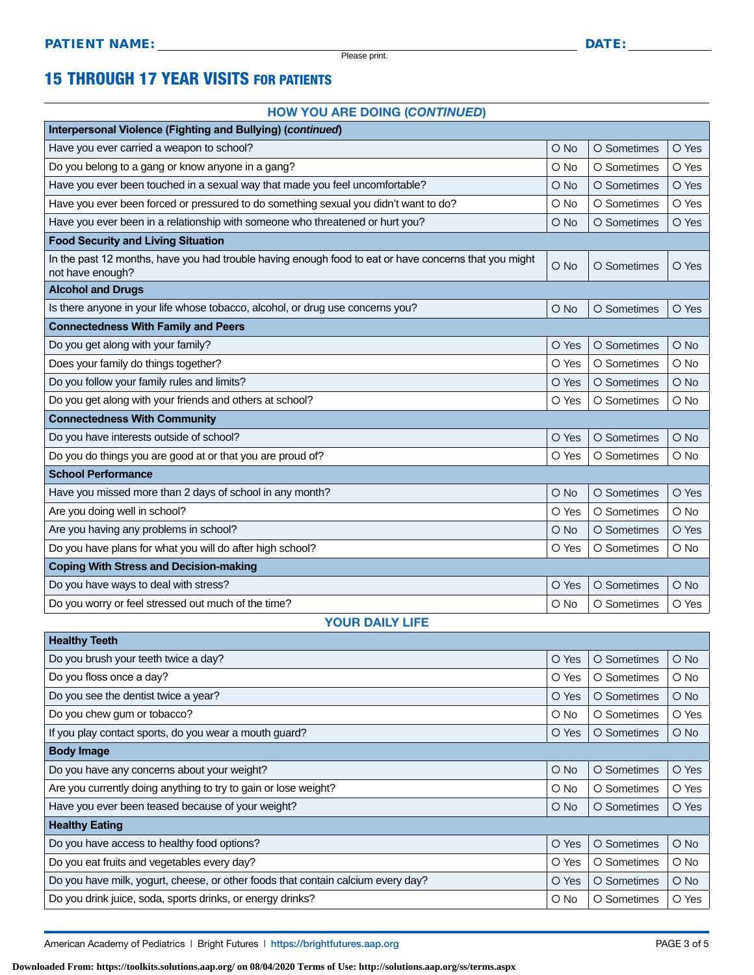Please print.

### 15 THROUGH 17 YEAR VISITS FOR PATIENTS

#### HOW YOU ARE DOING (*CONTINUED*)

| Interpersonal Violence (Fighting and Bullying) (continued)                                                                |               |             |        |  |  |
|---------------------------------------------------------------------------------------------------------------------------|---------------|-------------|--------|--|--|
| Have you ever carried a weapon to school?                                                                                 | $O$ No        | O Sometimes | O Yes  |  |  |
| Do you belong to a gang or know anyone in a gang?                                                                         | O No          | O Sometimes | O Yes  |  |  |
| Have you ever been touched in a sexual way that made you feel uncomfortable?                                              | $\bigcirc$ No | O Sometimes | O Yes  |  |  |
| Have you ever been forced or pressured to do something sexual you didn't want to do?                                      | O No          | O Sometimes | O Yes  |  |  |
| Have you ever been in a relationship with someone who threatened or hurt you?                                             | O No          | O Sometimes | O Yes  |  |  |
| <b>Food Security and Living Situation</b>                                                                                 |               |             |        |  |  |
| In the past 12 months, have you had trouble having enough food to eat or have concerns that you might<br>not have enough? | $O$ No        | O Sometimes | O Yes  |  |  |
| <b>Alcohol and Drugs</b>                                                                                                  |               |             |        |  |  |
| Is there anyone in your life whose tobacco, alcohol, or drug use concerns you?                                            | $O$ No        | O Sometimes | O Yes  |  |  |
| <b>Connectedness With Family and Peers</b>                                                                                |               |             |        |  |  |
| Do you get along with your family?                                                                                        | O Yes         | O Sometimes | O No   |  |  |
| Does your family do things together?                                                                                      | O Yes         | O Sometimes | O No   |  |  |
| Do you follow your family rules and limits?                                                                               | O Yes         | O Sometimes | $O$ No |  |  |
| Do you get along with your friends and others at school?                                                                  | O Yes         | O Sometimes | O No   |  |  |
| <b>Connectedness With Community</b>                                                                                       |               |             |        |  |  |
| Do you have interests outside of school?                                                                                  | O Yes         | O Sometimes | $O$ No |  |  |
| Do you do things you are good at or that you are proud of?                                                                | O Yes         | O Sometimes | O No   |  |  |
| <b>School Performance</b>                                                                                                 |               |             |        |  |  |
| Have you missed more than 2 days of school in any month?                                                                  | O No          | O Sometimes | O Yes  |  |  |
| Are you doing well in school?                                                                                             | O Yes         | O Sometimes | $O$ No |  |  |
| Are you having any problems in school?                                                                                    | $\bigcirc$ No | O Sometimes | O Yes  |  |  |
| Do you have plans for what you will do after high school?                                                                 | O Yes         | O Sometimes | O No   |  |  |
| <b>Coping With Stress and Decision-making</b>                                                                             |               |             |        |  |  |
| Do you have ways to deal with stress?                                                                                     | O Yes         | O Sometimes | $O$ No |  |  |
| Do you worry or feel stressed out much of the time?                                                                       | O No          | O Sometimes | O Yes  |  |  |
| <b>YOUR DAILY LIFE</b>                                                                                                    |               |             |        |  |  |

| <b>Healthy Teeth</b>                                                             |        |             |               |  |  |
|----------------------------------------------------------------------------------|--------|-------------|---------------|--|--|
| Do you brush your teeth twice a day?                                             | O Yes  | O Sometimes | $O$ No        |  |  |
| Do you floss once a day?                                                         | O Yes  | O Sometimes | O No          |  |  |
| Do you see the dentist twice a year?                                             | O Yes  | O Sometimes | $\bigcirc$ No |  |  |
| Do you chew gum or tobacco?                                                      | O No   | O Sometimes | O Yes         |  |  |
| If you play contact sports, do you wear a mouth guard?                           | O Yes  | O Sometimes | $\bigcirc$ No |  |  |
| <b>Body Image</b>                                                                |        |             |               |  |  |
| Do you have any concerns about your weight?                                      | $O$ No | O Sometimes | O Yes         |  |  |
| Are you currently doing anything to try to gain or lose weight?                  | O No   | O Sometimes | O Yes         |  |  |
| Have you ever been teased because of your weight?                                | $O$ No | O Sometimes | O Yes         |  |  |
| <b>Healthy Eating</b>                                                            |        |             |               |  |  |
| Do you have access to healthy food options?                                      | O Yes  | O Sometimes | $O$ No        |  |  |
| Do you eat fruits and vegetables every day?                                      | O Yes  | O Sometimes | O No          |  |  |
| Do you have milk, yogurt, cheese, or other foods that contain calcium every day? | O Yes  | O Sometimes | $\bigcirc$ No |  |  |
| Do you drink juice, soda, sports drinks, or energy drinks?                       | O No   | O Sometimes | O Yes         |  |  |

American Academy of Pediatrics | Bright Futures | https:/[/brightfutures.aap.org](https://brightfutures.aap.org/Pages/default.aspx) **PAGE 3** of 5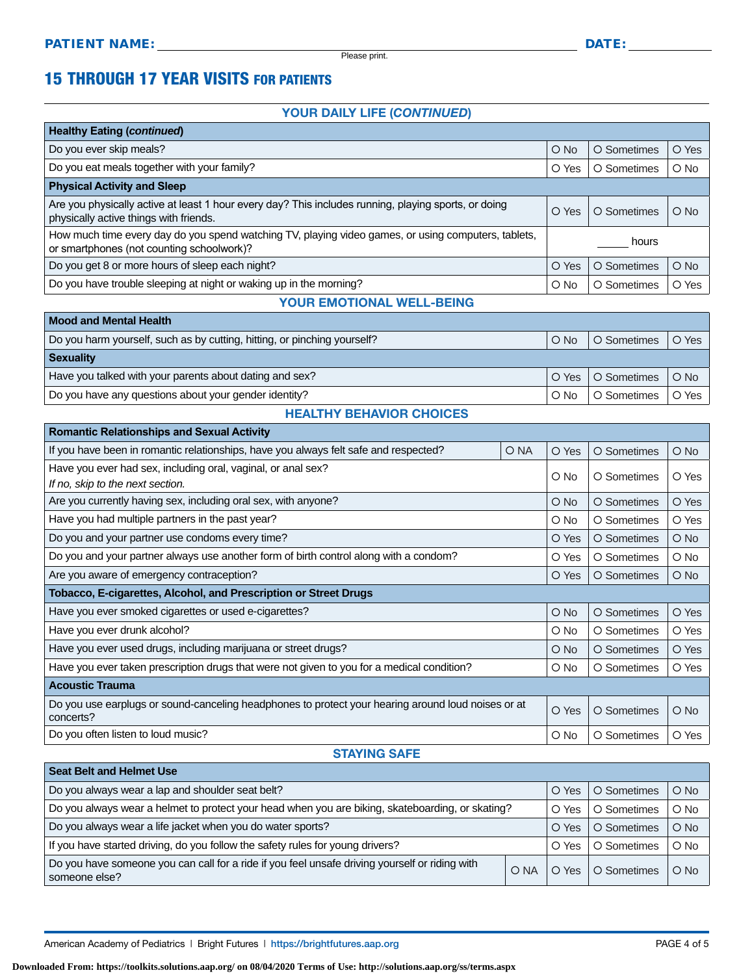$\overline{\phantom{a}}$ 

Please print.

### 15 THROUGH 17 YEAR VISITS FOR PATIENTS

#### YOUR DAILY LIFE (*CONTINUED*)

| <b>Healthy Eating (continued)</b>                                                                                                                |               |             |        |
|--------------------------------------------------------------------------------------------------------------------------------------------------|---------------|-------------|--------|
| Do you ever skip meals?                                                                                                                          | $O$ No        | O Sometimes | O Yes  |
| Do you eat meals together with your family?                                                                                                      | O Yes         | O Sometimes | O No   |
| <b>Physical Activity and Sleep</b>                                                                                                               |               |             |        |
| Are you physically active at least 1 hour every day? This includes running, playing sports, or doing<br>physically active things with friends.   | O Yes         | O Sometimes | $O$ No |
| How much time every day do you spend watching TV, playing video games, or using computers, tablets,<br>or smartphones (not counting schoolwork)? | hours         |             |        |
| Do you get 8 or more hours of sleep each night?                                                                                                  | O Yes         | O Sometimes | $O$ No |
| Do you have trouble sleeping at night or waking up in the morning?                                                                               | $\bigcirc$ No | O Sometimes | O Yes  |
| VAUR FUATIOUS USELL                                                                                                                              |               |             |        |

#### YOUR EMOTIONAL WELL-BEING

| <b>Mood and Mental Health</b>                                            |               |                     |        |  |
|--------------------------------------------------------------------------|---------------|---------------------|--------|--|
| Do you harm yourself, such as by cutting, hitting, or pinching yourself? | $O$ No        | O Sometimes         | O Yes  |  |
| <b>Sexuality</b>                                                         |               |                     |        |  |
| Have you talked with your parents about dating and sex?                  |               | O Yes   O Sometimes | $O$ No |  |
| Do you have any questions about your gender identity?                    | $\bigcirc$ No | O Sometimes         | O Yes  |  |

#### HEALTHY BEHAVIOR CHOICES

| <b>Romantic Relationships and Sexual Activity</b>                                                               |      |               |             |               |
|-----------------------------------------------------------------------------------------------------------------|------|---------------|-------------|---------------|
| If you have been in romantic relationships, have you always felt safe and respected?                            | O NA | O Yes         | O Sometimes | $\bigcirc$ No |
| Have you ever had sex, including oral, vaginal, or anal sex?                                                    |      | O No          | O Sometimes | O Yes         |
| If no, skip to the next section.                                                                                |      |               |             |               |
| Are you currently having sex, including oral sex, with anyone?                                                  |      | $\bigcirc$ No | O Sometimes | O Yes         |
| Have you had multiple partners in the past year?                                                                |      | $\circ$ No    | O Sometimes | O Yes         |
| Do you and your partner use condoms every time?                                                                 |      | O Yes         | O Sometimes | $\bigcirc$ No |
| Do you and your partner always use another form of birth control along with a condom?                           |      | O Yes         | O Sometimes | $O$ No        |
| Are you aware of emergency contraception?                                                                       |      | O Yes         | O Sometimes | $O$ No        |
| <b>Tobacco, E-cigarettes, Alcohol, and Prescription or Street Drugs</b>                                         |      |               |             |               |
| Have you ever smoked cigarettes or used e-cigarettes?                                                           |      | $O$ No        | O Sometimes | O Yes         |
|                                                                                                                 |      |               |             |               |
| Have you ever drunk alcohol?                                                                                    |      | $\circ$ No    | O Sometimes | O Yes         |
| Have you ever used drugs, including marijuana or street drugs?                                                  |      | $\bigcirc$ No | O Sometimes | O Yes         |
| Have you ever taken prescription drugs that were not given to you for a medical condition?                      |      | $\circ$ No    | O Sometimes | O Yes         |
| <b>Acoustic Trauma</b>                                                                                          |      |               |             |               |
| Do you use earplugs or sound-canceling headphones to protect your hearing around loud noises or at<br>concerts? |      | O Yes         | O Sometimes | $\bigcirc$ No |

### STAYING SAFE

| <b>Seat Belt and Helmet Use</b>                                                                                 |      |       |             |        |
|-----------------------------------------------------------------------------------------------------------------|------|-------|-------------|--------|
| Do you always wear a lap and shoulder seat belt?                                                                |      | O Yes | O Sometimes | $O$ No |
| Do you always wear a helmet to protect your head when you are biking, skateboarding, or skating?                |      | O Yes | O Sometimes | $O$ No |
| Do you always wear a life jacket when you do water sports?                                                      |      | O Yes | O Sometimes | $O$ No |
| If you have started driving, do you follow the safety rules for young drivers?                                  |      | O Yes | O Sometimes | $O$ No |
| Do you have someone you can call for a ride if you feel unsafe driving yourself or riding with<br>someone else? | O NA | O Yes | O Sometimes | $O$ No |